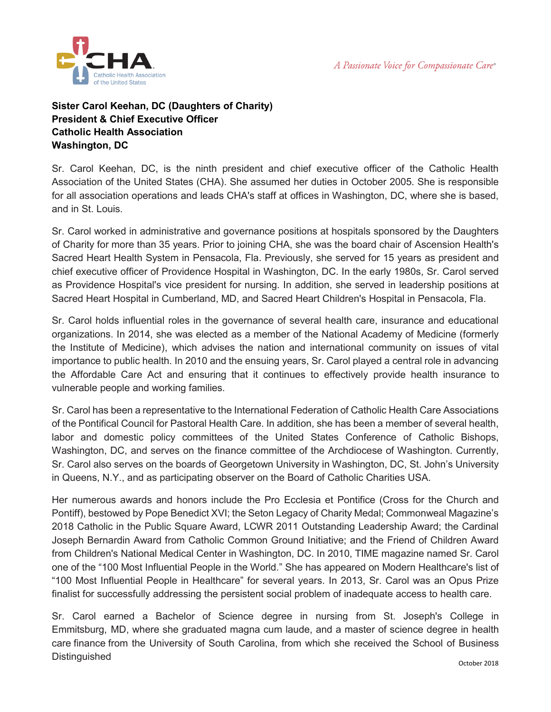A Passionate Voice for Compassionate Care®



## **Sister Carol Keehan, DC (Daughters of Charity) President & Chief Executive Officer Catholic Health Association Washington, DC**

Sr. Carol Keehan, DC, is the ninth president and chief executive officer of the Catholic Health Association of the United States (CHA). She assumed her duties in October 2005. She is responsible for all association operations and leads CHA's staff at offices in Washington, DC, where she is based, and in St. Louis.

Sr. Carol worked in administrative and governance positions at hospitals sponsored by the Daughters of Charity for more than 35 years. Prior to joining CHA, she was the board chair of Ascension Health's Sacred Heart Health System in Pensacola, Fla. Previously, she served for 15 years as president and chief executive officer of Providence Hospital in Washington, DC. In the early 1980s, Sr. Carol served as Providence Hospital's vice president for nursing. In addition, she served in leadership positions at Sacred Heart Hospital in Cumberland, MD, and Sacred Heart Children's Hospital in Pensacola, Fla.

Sr. Carol holds influential roles in the governance of several health care, insurance and educational organizations. In 2014, she was elected as a member of the National Academy of Medicine (formerly the Institute of Medicine), which advises the nation and international community on issues of vital importance to public health. In 2010 and the ensuing years, Sr. Carol played a central role in advancing the Affordable Care Act and ensuring that it continues to effectively provide health insurance to vulnerable people and working families.

Sr. Carol has been a representative to the International Federation of Catholic Health Care Associations of the Pontifical Council for Pastoral Health Care. In addition, she has been a member of several health, labor and domestic policy committees of the United States Conference of Catholic Bishops, Washington, DC, and serves on the finance committee of the Archdiocese of Washington. Currently, Sr. Carol also serves on the boards of Georgetown University in Washington, DC, St. John's University in Queens, N.Y., and as participating observer on the Board of Catholic Charities USA.

Her numerous awards and honors include the Pro Ecclesia et Pontifice (Cross for the Church and Pontiff), bestowed by Pope Benedict XVI; the Seton Legacy of Charity Medal; Commonweal Magazine's 2018 Catholic in the Public Square Award, LCWR 2011 Outstanding Leadership Award; the Cardinal Joseph Bernardin Award from Catholic Common Ground Initiative; and the Friend of Children Award from Children's National Medical Center in Washington, DC. In 2010, TIME magazine named Sr. Carol one of the "100 Most Influential People in the World." She has appeared on Modern Healthcare's list of "100 Most Influential People in Healthcare" for several years. In 2013, Sr. Carol was an Opus Prize finalist for successfully addressing the persistent social problem of inadequate access to health care.

Sr. Carol earned a Bachelor of Science degree in nursing from St. Joseph's College in Emmitsburg, MD, where she graduated magna cum laude, and a master of science degree in health care finance from the University of South Carolina, from which she received the School of Business **Distinguished**